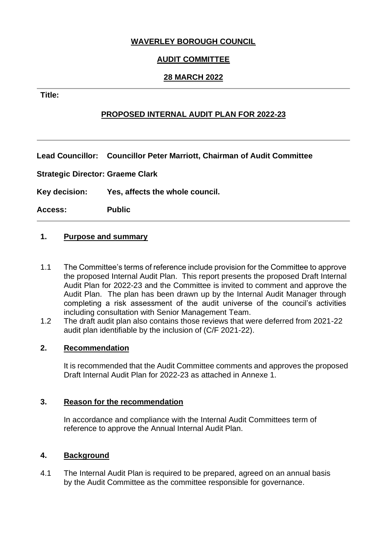## **WAVERLEY BOROUGH COUNCIL**

# **AUDIT COMMITTEE**

## **28 MARCH 2022**

#### **Title:**

# **PROPOSED INTERNAL AUDIT PLAN FOR 2022-23**

**Lead Councillor: Councillor Peter Marriott, Chairman of Audit Committee**

**Strategic Director: Graeme Clark** 

**Key decision: Yes, affects the whole council.**

**Access: Public**

### **1. Purpose and summary**

- 1.1 The Committee's terms of reference include provision for the Committee to approve the proposed Internal Audit Plan. This report presents the proposed Draft Internal Audit Plan for 2022-23 and the Committee is invited to comment and approve the Audit Plan. The plan has been drawn up by the Internal Audit Manager through completing a risk assessment of the audit universe of the council's activities including consultation with Senior Management Team.
- 1.2 The draft audit plan also contains those reviews that were deferred from 2021-22 audit plan identifiable by the inclusion of (C/F 2021-22).

#### **2. Recommendation**

It is recommended that the Audit Committee comments and approves the proposed Draft Internal Audit Plan for 2022-23 as attached in Annexe 1.

#### **3. Reason for the recommendation**

In accordance and compliance with the Internal Audit Committees term of reference to approve the Annual Internal Audit Plan.

#### **4. Background**

4.1 The Internal Audit Plan is required to be prepared, agreed on an annual basis by the Audit Committee as the committee responsible for governance.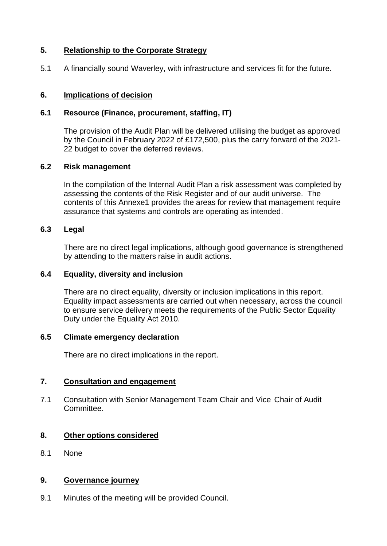## **5. Relationship to the Corporate Strategy**

5.1 A financially sound Waverley, with infrastructure and services fit for the future.

### **6. Implications of decision**

### **6.1 Resource (Finance, procurement, staffing, IT)**

The provision of the Audit Plan will be delivered utilising the budget as approved by the Council in February 2022 of £172,500, plus the carry forward of the 2021- 22 budget to cover the deferred reviews.

#### **6.2 Risk management**

In the compilation of the Internal Audit Plan a risk assessment was completed by assessing the contents of the Risk Register and of our audit universe. The contents of this Annexe1 provides the areas for review that management require assurance that systems and controls are operating as intended.

### **6.3 Legal**

There are no direct legal implications, although good governance is strengthened by attending to the matters raise in audit actions.

#### **6.4 Equality, diversity and inclusion**

There are no direct equality, diversity or inclusion implications in this report. Equality impact assessments are carried out when necessary, across the council to ensure service delivery meets the requirements of the Public Sector Equality Duty under the Equality Act 2010.

#### **6.5 Climate emergency declaration**

There are no direct implications in the report.

## **7. Consultation and engagement**

7.1 Consultation with Senior Management Team Chair and Vice Chair of Audit Committee.

## **8. Other options considered**

8.1 None

### **9. Governance journey**

9.1 Minutes of the meeting will be provided Council.